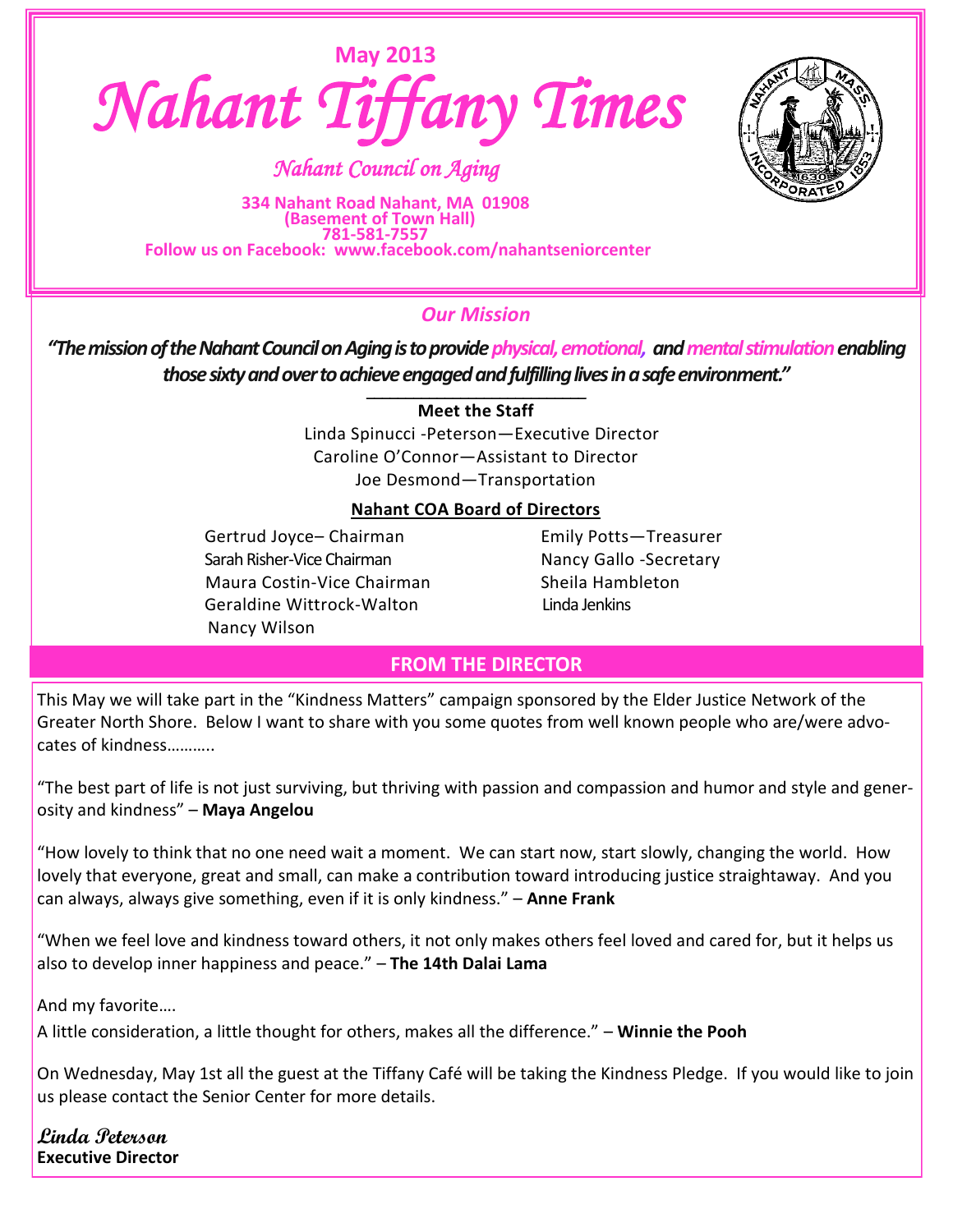



*Nahant Council on Aging* 

**334 Nahant Road Nahant, MA 01908**   *(Basement of Town Hall)*  **781-581-7557 Follow us on Facebook: www.facebook.com/nahantseniorcenter**

# *Our Mission*

*"The mission of the Nahant Council on Aging is to provide physical, emotional, andmental stimulation enabling those sixty and over to achieve engaged and fulfilling lives in a safe environment."* \_\_\_\_\_\_\_\_\_\_\_\_\_\_\_\_\_\_\_\_\_\_\_\_\_\_\_\_

### **Meet the Staff**

 Linda Spinucci -Peterson—Executive Director Caroline O'Connor—Assistant to Director Joe Desmond—Transportation

### **Nahant COA Board of Directors**

Gertrud Joyce– Chairman Emily Potts–Treasurer Sarah Risher-Vice Chairman Nancy Gallo -Secretary Maura Costin-Vice Chairman Sheila Hambleton Geraldine Wittrock-Walton Linda Jenkins Nancy Wilson

### **FROM THE DIRECTOR**

This May we will take part in the "Kindness Matters" campaign sponsored by the Elder Justice Network of the Greater North Shore. Below I want to share with you some quotes from well known people who are/were advocates of kindness………..

"The best part of life is not just surviving, but thriving with passion and compassion and humor and style and generosity and kindness" – **Maya Angelou**

"How lovely to think that no one need wait a moment. We can start now, start slowly, changing the world. How lovely that everyone, great and small, can make a contribution toward introducing justice straightaway. And you can always, always give something, even if it is only kindness." – **Anne Frank**

"When we feel love and kindness toward others, it not only makes others feel loved and cared for, but it helps us also to develop inner happiness and peace." – **The 14th Dalai Lama** 

And my favorite….

A little consideration, a little thought for others, makes all the difference." – **Winnie the Pooh**

On Wednesday, May 1st all the guest at the Tiffany Café will be taking the Kindness Pledge. If you would like to join us please contact the Senior Center for more details.

**Linda Peterson Executive Director**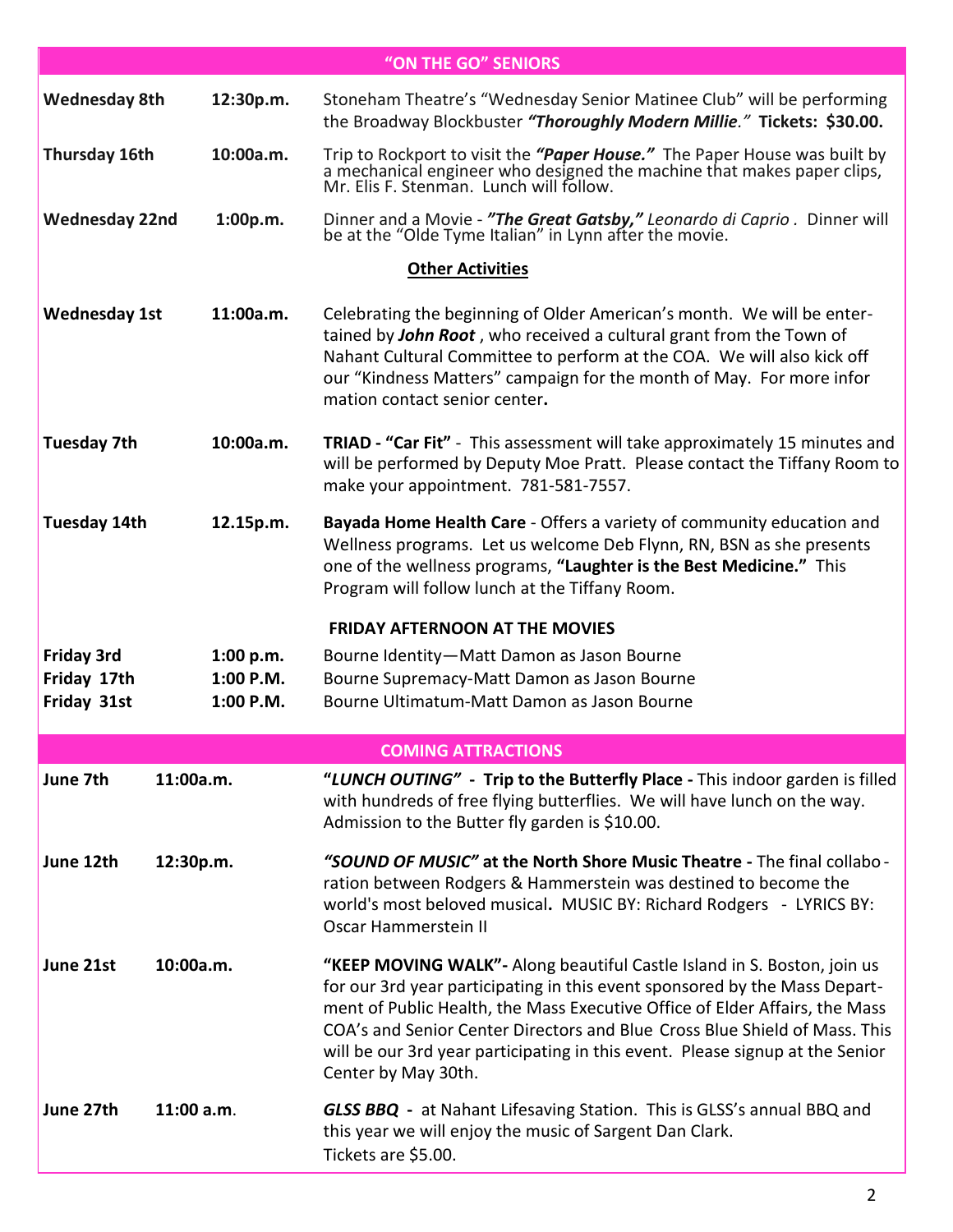|                                                 |                                         | "ON THE GO" SENIORS                                                                                                                                                                                                                                                                                                                                                                                                        |
|-------------------------------------------------|-----------------------------------------|----------------------------------------------------------------------------------------------------------------------------------------------------------------------------------------------------------------------------------------------------------------------------------------------------------------------------------------------------------------------------------------------------------------------------|
| <b>Wednesday 8th</b>                            | 12:30p.m.                               | Stoneham Theatre's "Wednesday Senior Matinee Club" will be performing<br>the Broadway Blockbuster "Thoroughly Modern Millie." Tickets: \$30.00.                                                                                                                                                                                                                                                                            |
| Thursday 16th                                   | 10:00a.m.                               | Trip to Rockport to visit the "Paper House." The Paper House was built by a mechanical engineer who designed the machine that makes paper clips, Mr. Elis F. Stenman. Lunch will follow.                                                                                                                                                                                                                                   |
| <b>Wednesday 22nd</b>                           | 1:00p.m.                                | Dinner and a Movie - "The Great Gatsby," Leonardo di Caprio. Dinner will be at the "Olde Tyme Italian" in Lynn after the movie.                                                                                                                                                                                                                                                                                            |
|                                                 |                                         | <b>Other Activities</b>                                                                                                                                                                                                                                                                                                                                                                                                    |
| <b>Wednesday 1st</b>                            | 11:00a.m.                               | Celebrating the beginning of Older American's month. We will be enter-<br>tained by John Root, who received a cultural grant from the Town of<br>Nahant Cultural Committee to perform at the COA. We will also kick off<br>our "Kindness Matters" campaign for the month of May. For more infor<br>mation contact senior center.                                                                                           |
| <b>Tuesday 7th</b>                              | 10:00a.m.                               | <b>TRIAD - "Car Fit"</b> - This assessment will take approximately 15 minutes and<br>will be performed by Deputy Moe Pratt. Please contact the Tiffany Room to<br>make your appointment. 781-581-7557.                                                                                                                                                                                                                     |
| <b>Tuesday 14th</b>                             | 12.15p.m.                               | Bayada Home Health Care - Offers a variety of community education and<br>Wellness programs. Let us welcome Deb Flynn, RN, BSN as she presents<br>one of the wellness programs, "Laughter is the Best Medicine." This<br>Program will follow lunch at the Tiffany Room.                                                                                                                                                     |
|                                                 |                                         | <b>FRIDAY AFTERNOON AT THE MOVIES</b>                                                                                                                                                                                                                                                                                                                                                                                      |
| <b>Friday 3rd</b><br>Friday 17th<br>Friday 31st | 1:00 p.m.<br>$1:00$ P.M.<br>$1:00$ P.M. | Bourne Identity-Matt Damon as Jason Bourne<br>Bourne Supremacy-Matt Damon as Jason Bourne<br>Bourne Ultimatum-Matt Damon as Jason Bourne                                                                                                                                                                                                                                                                                   |
|                                                 |                                         | <b>COMING ATTRACTIONS</b>                                                                                                                                                                                                                                                                                                                                                                                                  |
| June 7th                                        | 11:00a.m.                               | "LUNCH OUTING" - Trip to the Butterfly Place - This indoor garden is filled<br>with hundreds of free flying butterflies. We will have lunch on the way.<br>Admission to the Butter fly garden is \$10.00.                                                                                                                                                                                                                  |
| June 12th                                       | 12:30p.m.                               | "SOUND OF MUSIC" at the North Shore Music Theatre - The final collabo -<br>ration between Rodgers & Hammerstein was destined to become the<br>world's most beloved musical. MUSIC BY: Richard Rodgers - LYRICS BY:<br>Oscar Hammerstein II                                                                                                                                                                                 |
| June 21st                                       | 10:00a.m.                               | "KEEP MOVING WALK"- Along beautiful Castle Island in S. Boston, join us<br>for our 3rd year participating in this event sponsored by the Mass Depart-<br>ment of Public Health, the Mass Executive Office of Elder Affairs, the Mass<br>COA's and Senior Center Directors and Blue Cross Blue Shield of Mass. This<br>will be our 3rd year participating in this event. Please signup at the Senior<br>Center by May 30th. |
| June 27th                                       | 11:00 a.m.                              | <b>GLSS BBQ</b> - at Nahant Lifesaving Station. This is GLSS's annual BBQ and<br>this year we will enjoy the music of Sargent Dan Clark.<br>Tickets are \$5.00.                                                                                                                                                                                                                                                            |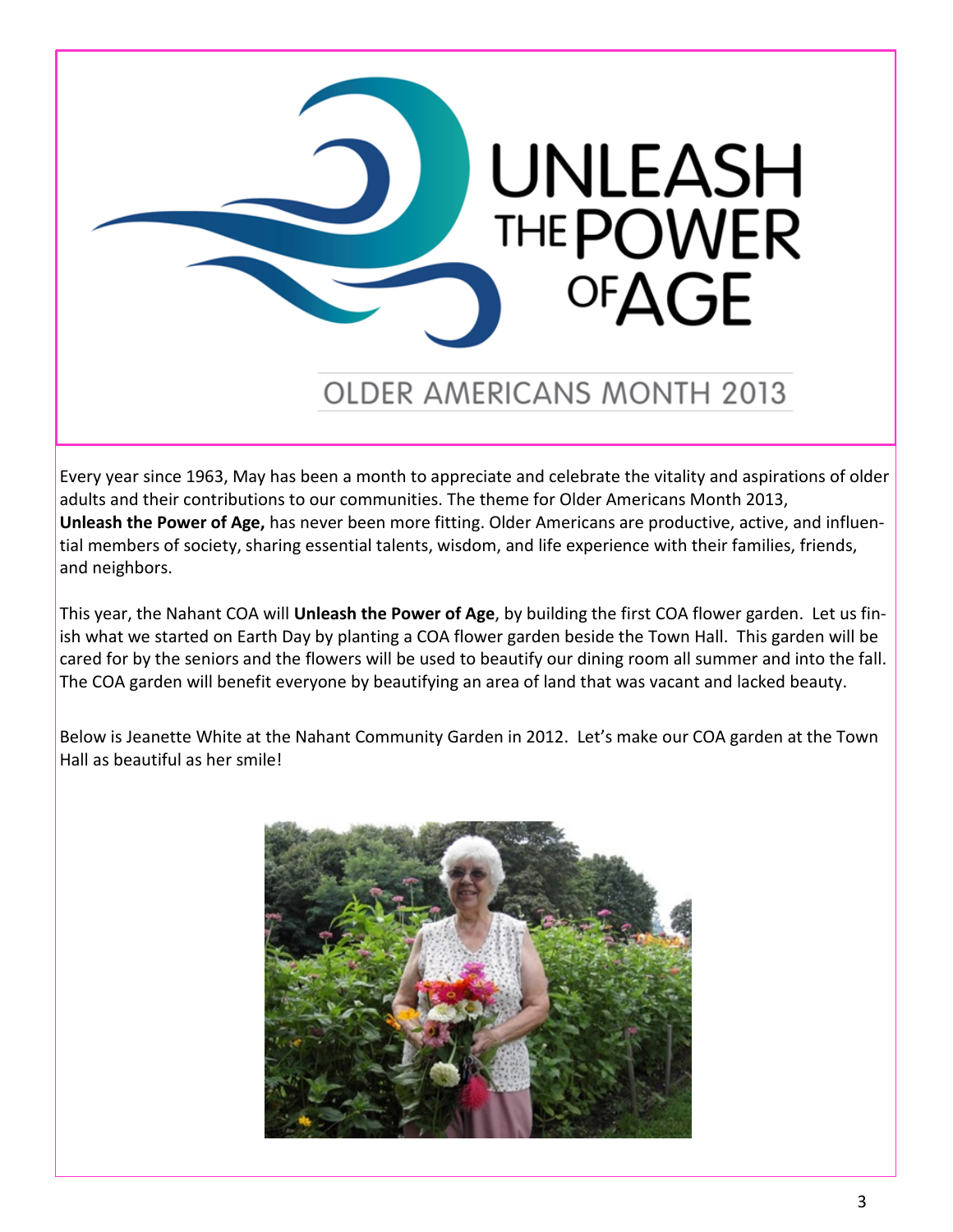

# **OLDER AMERICANS MONTH 2013**

Every year since 1963, May has been a month to appreciate and celebrate the vitality and aspirations of older adults and their contributions to our communities. The theme for Older Americans Month 2013, **Unleash the Power of Age,** has never been more fitting. Older Americans are productive, active, and influential members of society, sharing essential talents, wisdom, and life experience with their families, friends, and neighbors.

This year, the Nahant COA will **Unleash the Power of Age**, by building the first COA flower garden. Let us finish what we started on Earth Day by planting a COA flower garden beside the Town Hall. This garden will be cared for by the seniors and the flowers will be used to beautify our dining room all summer and into the fall. The COA garden will benefit everyone by beautifying an area of land that was vacant and lacked beauty.

Below is Jeanette White at the Nahant Community Garden in 2012. Let's make our COA garden at the Town Hall as beautiful as her smile!

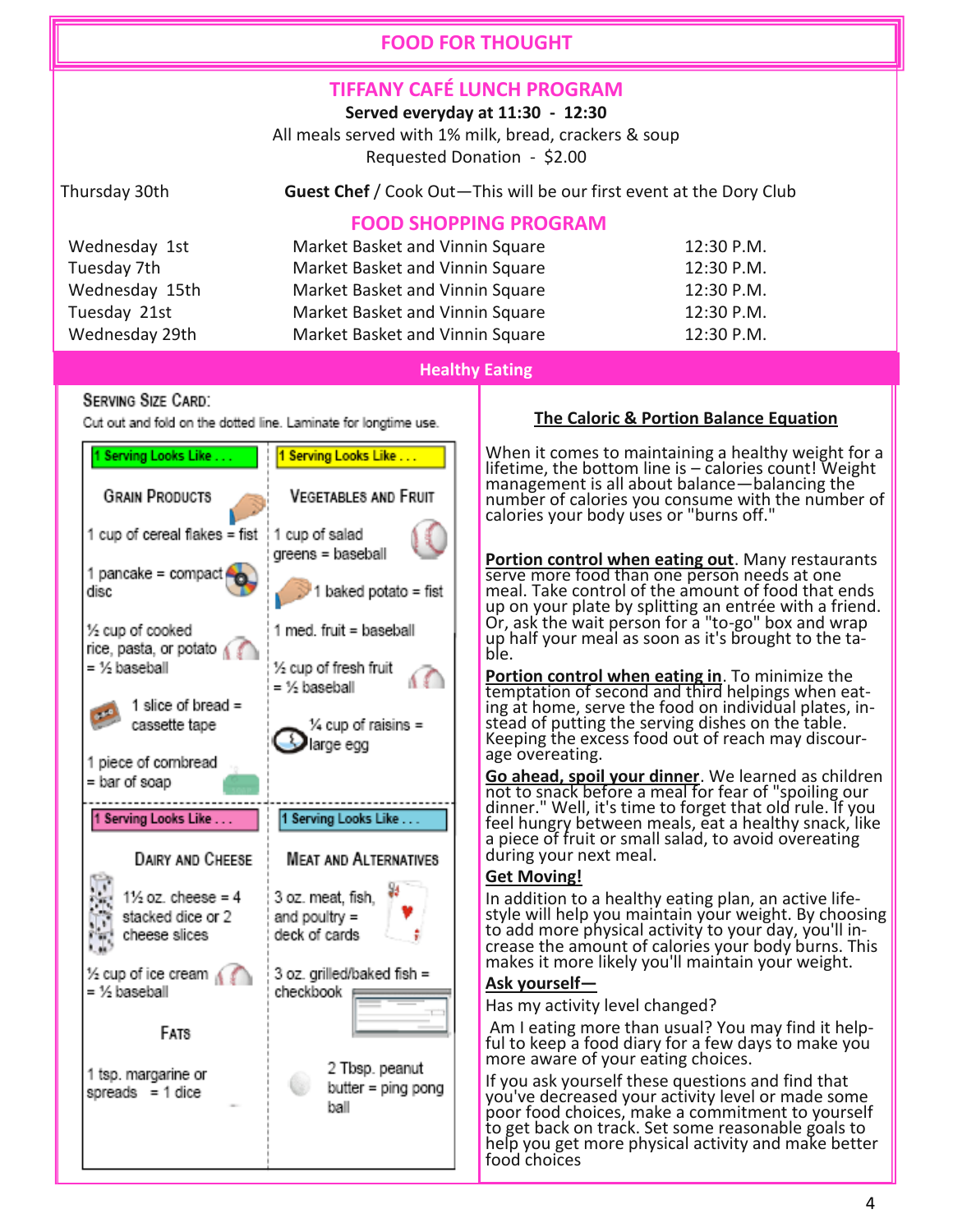## **FOOD FOR THOUGHT**

# **TIFFANY CAFÉ LUNCH PROGRAM**

**Served everyday at 11:30 - 12:30**

All meals served with 1% milk, bread, crackers & soup Requested Donation - \$2.00

Thursday 30th **Guest Chef** / Cook Out—This will be our first event at the Dory Club

# **FOOD SHOPPING PROGRAM**

| Wednesday 1st  | Market Basket and Vinnin Square | 12:30 P.M. |
|----------------|---------------------------------|------------|
| Tuesday 7th    | Market Basket and Vinnin Square | 12:30 P.M. |
| Wednesday 15th | Market Basket and Vinnin Square | 12:30 P.M. |
| Tuesday 21st   | Market Basket and Vinnin Square | 12:30 P.M. |
| Wednesday 29th | Market Basket and Vinnin Square | 12:30 P.M. |

### **Healthy Eating**

### **SERVING SIZE CARD:**

Cut out and fold on the dotted line. Laminate for longtime use.



### **The Caloric & Portion Balance Equation**

When it comes to maintaining a healthy weight for a lifetime, the bottom line is – calories count! Weight management is all about balance—balancing the number of calories you consume with the number of calories your body uses or "burns off."

**Portion control when eating out**. Many restaurants serve more food than one person needs at one meal. Take control of the amount of food that ends up on your plate by splitting an entrée with a friend. Or, ask the wait person for a "to-go" box and wrap up half your meal as soon as it's brought to the table.

**Portion control when eating in**. To minimize the temptation of second and third helpings when eating at home, serve the food on individual plates, instead of putting the serving dishes on the table. Keeping the excess food out of reach may discourage overeating.

**Go ahead, spoil your dinner**. We learned as children not to snack before a meal for fear of "spoiling our dinner." Well, it's time to forget that old rule. If you feel hungry between meals, eat a healthy snack, like a piece of fruit or small salad, to avoid overeating during your next meal.

### **Get Moving!**

In addition to a healthy eating plan, an active lifestyle will help you maintain your weight. By choosing to add more physical activity to your day, you'll increase the amount of calories your body burns. This makes it more likely you'll maintain your weight.

### **Ask yourself—**

Has my activity level changed?

Am I eating more than usual? You may find it helpful to keep a food diary for a few days to make you more aware of your eating choices.

If you ask yourself these questions and find that you've decreased your activity level or made some poor food choices, make a commitment to yourself to get back on track. Set some reasonable goals to help you get more physical activity and make better food choices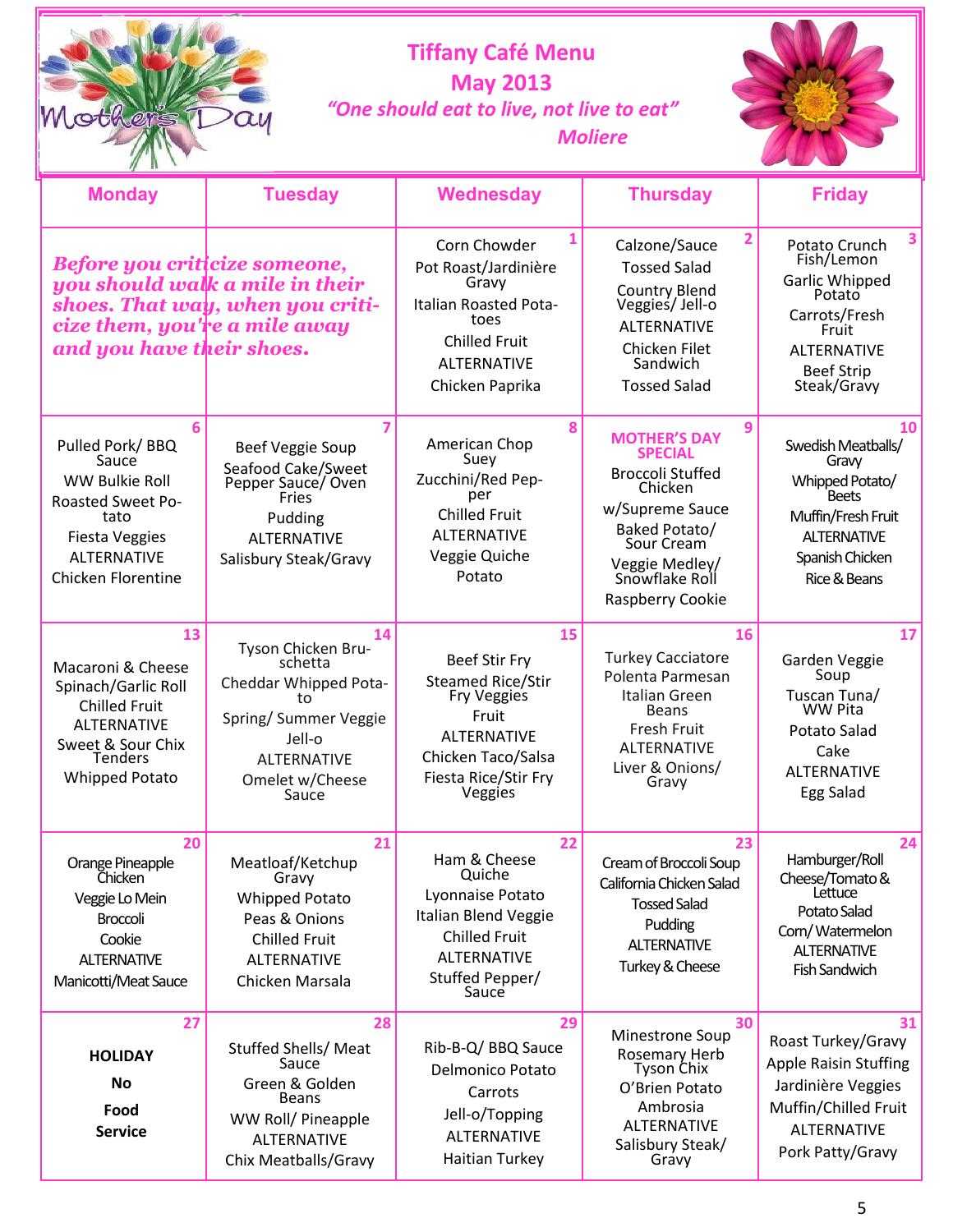| Mothers<br>$\alpha$ u |
|-----------------------|
|                       |

# **Tiffany Café Menu May 2013**  *"One should eat to live, not live to eat" Moliere*



| <b>Monday</b>                                                                                                                                                | <b>Tuesday</b>                                                                                                                                          | <b>Wednesday</b>                                                                                                                                                     | <b>Thursday</b>                                                                                                                                                                            | <b>Friday</b>                                                                                                                                    |
|--------------------------------------------------------------------------------------------------------------------------------------------------------------|---------------------------------------------------------------------------------------------------------------------------------------------------------|----------------------------------------------------------------------------------------------------------------------------------------------------------------------|--------------------------------------------------------------------------------------------------------------------------------------------------------------------------------------------|--------------------------------------------------------------------------------------------------------------------------------------------------|
| Before you criticize someone,<br>cize them, you're a mile away<br>and you have their shoes.                                                                  | you should walk a mile in their<br>shoes. That way, when you criti-                                                                                     | 1<br>Corn Chowder<br>Pot Roast/Jardinière<br>Gravy<br>Italian Roasted Pota-<br>toes<br><b>Chilled Fruit</b><br><b>ALTERNATIVE</b><br>Chicken Paprika                 | $\overline{2}$<br>Calzone/Sauce<br><b>Tossed Salad</b><br><b>Country Blend</b><br>Veggies/Jell-o<br><b>ALTERNATIVE</b><br>Chicken Filet<br>Sandwich<br><b>Tossed Salad</b>                 | 3<br>Potato Crunch<br>Fish/Lemon<br>Garlic Whipped<br>Potato<br>Carrots/Fresh<br>Fruit<br><b>ALTERNATIVE</b><br><b>Beef Strip</b><br>Steak/Gravy |
| 6<br>Pulled Pork/BBQ<br>Sauce<br>WW Bulkie Roll<br><b>Roasted Sweet Po-</b><br>tato<br><b>Fiesta Veggies</b><br><b>ALTERNATIVE</b><br>Chicken Florentine     | 7<br>Beef Veggie Soup<br>Seafood Cake/Sweet<br>Pepper Sauce/ Oven<br>Fries<br>Pudding<br><b>ALTERNATIVE</b><br>Salisbury Steak/Gravy                    | 8<br>American Chop<br>Suey<br>Zucchini/Red Pep-<br>per<br><b>Chilled Fruit</b><br><b>ALTERNATIVE</b><br>Veggie Quiche<br>Potato                                      | 9<br><b>MOTHER'S DAY</b><br><b>SPECIAL</b><br><b>Broccoli Stuffed</b><br>Chicken<br>w/Supreme Sauce<br>Baked Potato/<br>Sour Cream<br>Veggie Medley/<br>Snowflake Roll<br>Raspberry Cookie | 10<br>Swedish Meatballs/<br>Gravy<br>Whipped Potato/<br>Beets<br>Muffin/Fresh Fruit<br><b>ALTERNATIVE</b><br>Spanish Chicken<br>Rice & Beans     |
| 13<br>Macaroni & Cheese<br>Spinach/Garlic Roll<br><b>Chilled Fruit</b><br><b>ALTERNATIVE</b><br>Sweet & Sour Chix<br><b>Tenders</b><br><b>Whipped Potato</b> | 14<br>Tyson Chicken Bru-<br>schetta<br>Cheddar Whipped Pota-<br>tο<br>Spring/ Summer Veggie<br>Jell-o<br><b>ALTERNATIVE</b><br>Omelet w/Cheese<br>Sauce | 15<br><b>Beef Stir Fry</b><br><b>Steamed Rice/Stir</b><br><b>Fry Veggies</b><br>Fruit<br><b>ALTERNATIVE</b><br>Chicken Taco/Salsa<br>Fiesta Rice/Stir Fry<br>Veggies | 16<br><b>Turkey Cacciatore</b><br>Polenta Parmesan<br>Italian Green<br><b>Beans</b><br>Fresh Fruit<br><b>ALTERNATIVE</b><br>Liver & Onions/<br>Gravy                                       | 17<br>Garden Veggie<br>Soup<br>Tuscan Tuna/<br>WW Pita<br><b>Potato Salad</b><br>Cake<br><b>ALTERNATIVE</b><br>Egg Salad                         |
| 20<br>Orange Pineapple<br>Chicken<br>Veggie Lo Mein<br><b>Broccoli</b><br>Cookie<br><b>ALTERNATIVE</b><br>Manicotti/Meat Sauce                               | 21<br>Meatloaf/Ketchup<br>Gravy<br>Whipped Potato<br>Peas & Onions<br><b>Chilled Fruit</b><br><b>ALTERNATIVE</b><br>Chicken Marsala                     | 22<br>Ham & Cheese<br>Quiche<br>Lyonnaise Potato<br>Italian Blend Veggie<br><b>Chilled Fruit</b><br><b>ALTERNATIVE</b><br>Stuffed Pepper/<br>Sauce                   | 23<br>Cream of Broccoli Soup<br>California Chicken Salad<br><b>Tossed Salad</b><br>Pudding<br><b>ALTERNATIVE</b><br>Turkey & Cheese                                                        | 24<br>Hamburger/Roll<br>Cheese/Tomato &<br>Lettuce<br>Potato Salad<br>Corn/Watermelon<br><b>ALTERNATIVE</b><br><b>Fish Sandwich</b>              |
| 27<br><b>HOLIDAY</b><br><b>No</b><br>Food<br><b>Service</b>                                                                                                  | 28<br>Stuffed Shells/ Meat<br>Sauce<br>Green & Golden<br><b>Beans</b><br>WW Roll/ Pineapple<br><b>ALTERNATIVE</b><br>Chix Meatballs/Gravy               | 29<br>Rib-B-Q/ BBQ Sauce<br><b>Delmonico Potato</b><br>Carrots<br>Jell-o/Topping<br><b>ALTERNATIVE</b><br><b>Haitian Turkey</b>                                      | 30<br>Minestrone Soup<br>Rosemary Herb<br>Tyson Chix<br>O'Brien Potato<br>Ambrosia<br><b>ALTERNATIVE</b><br>Salisbury Steak/<br>Gravy                                                      | 31<br>Roast Turkey/Gravy<br><b>Apple Raisin Stuffing</b><br>Jardinière Veggies<br>Muffin/Chilled Fruit<br><b>ALTERNATIVE</b><br>Pork Patty/Gravy |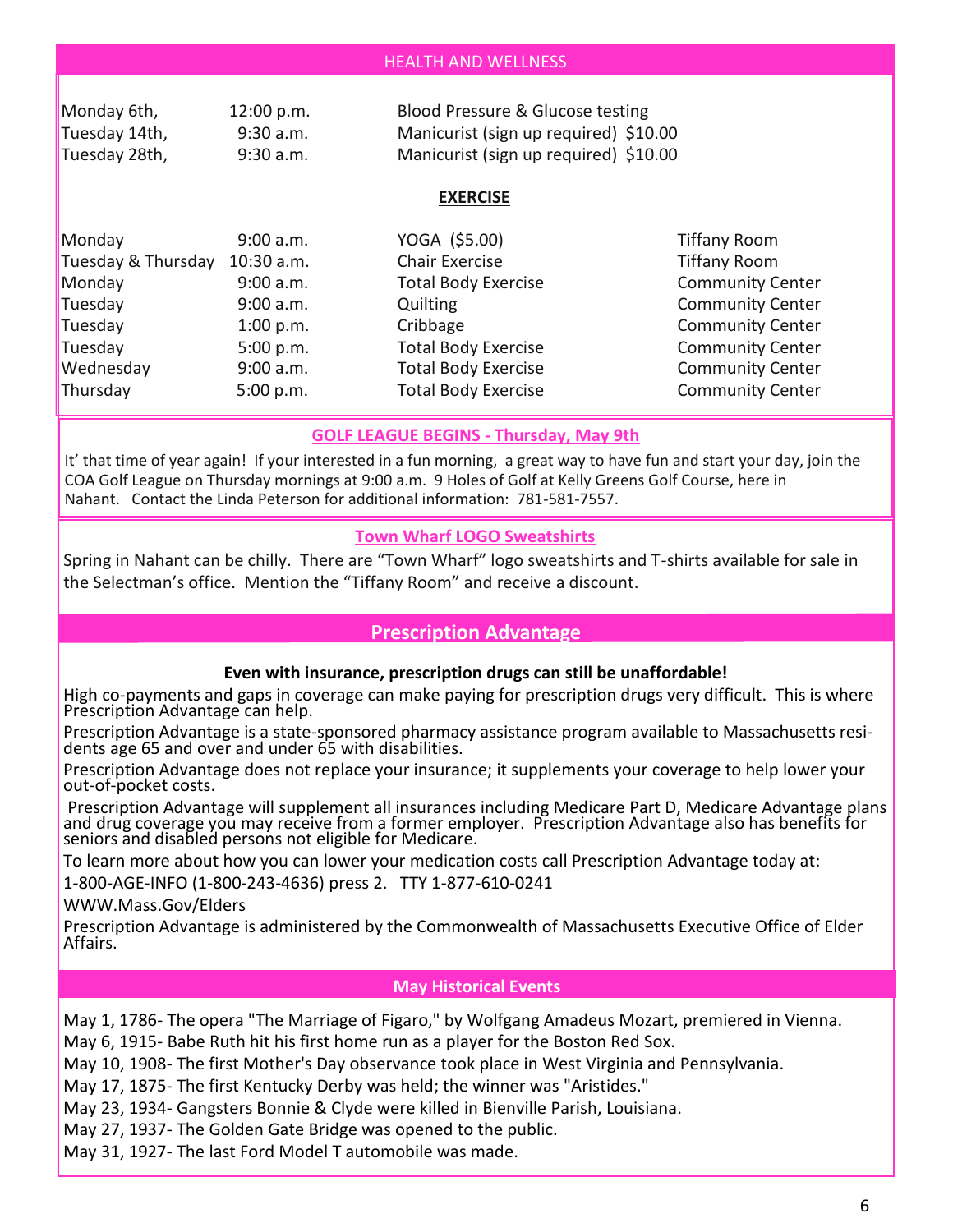| <b>HEALTH AND WELLNESS</b> |  |
|----------------------------|--|
|                            |  |

| Monday 6th,   | 12:00 p.m.  | Blood Pressure & Glucose testing      |
|---------------|-------------|---------------------------------------|
| Tuesday 14th, | $9:30$ a.m. | Manicurist (sign up required) \$10.00 |
| Tuesday 28th, | $9:30$ a.m. | Manicurist (sign up required) \$10.00 |

### **EXERCISE**

| Monday             | 9:00 a.m.  | YOGA (\$5.00)              | <b>Tiffany Room</b>     |
|--------------------|------------|----------------------------|-------------------------|
| Tuesday & Thursday | 10:30 a.m. | Chair Exercise             | <b>Tiffany Room</b>     |
| Monday             | 9:00 a.m.  | <b>Total Body Exercise</b> | <b>Community Center</b> |
| Tuesday            | 9:00 a.m.  | <b>Quilting</b>            | <b>Community Center</b> |
| Tuesday            | 1:00 p.m.  | Cribbage                   | <b>Community Center</b> |
| Tuesday            | 5:00 p.m.  | <b>Total Body Exercise</b> | <b>Community Center</b> |
| Wednesday          | 9:00 a.m.  | <b>Total Body Exercise</b> | <b>Community Center</b> |
| Thursday           | 5:00 p.m.  | <b>Total Body Exercise</b> | <b>Community Center</b> |

### **GOLF LEAGUE BEGINS - Thursday, May 9th**

It' that time of year again! If your interested in a fun morning, a great way to have fun and start your day, join the COA Golf League on Thursday mornings at 9:00 a.m. 9 Holes of Golf at Kelly Greens Golf Course, here in Nahant. Contact the Linda Peterson for additional information: 781-581-7557.

### **Town Wharf LOGO Sweatshirts**

Spring in Nahant can be chilly. There are "Town Wharf" logo sweatshirts and T-shirts available for sale in the Selectman's office. Mention the "Tiffany Room" and receive a discount.

### **Prescription Advantage**

### **Even with insurance, prescription drugs can still be unaffordable!**

High co-payments and gaps in coverage can make paying for prescription drugs very difficult. This is where Prescription Advantage can help.

Prescription Advantage is a state-sponsored pharmacy assistance program available to Massachusetts residents age 65 and over and under 65 with disabilities.

Prescription Advantage does not replace your insurance; it supplements your coverage to help lower your out-of-pocket costs.

Prescription Advantage will supplement all insurances including Medicare Part D, Medicare Advantage plans and drug coverage you may receive from a former employer. Prescription Advantage also has benefits for seniors and disabled persons not eligible for Medicare.

To learn more about how you can lower your medication costs call Prescription Advantage today at:

1-800-AGE-INFO (1-800-243-4636) press 2. TTY 1-877-610-0241

WWW.Mass.Gov/Elders

Prescription Advantage is administered by the Commonwealth of Massachusetts Executive Office of Elder Affairs.

#### **May Historical Events**

May 1, 1786- The opera "The Marriage of Figaro," by Wolfgang Amadeus Mozart, premiered in Vienna.

May 6, 1915- Babe Ruth hit his first home run as a player for the Boston Red Sox.

May 10, 1908- The first Mother's Day observance took place in West Virginia and Pennsylvania.

May 17, 1875- The first Kentucky Derby was held; the winner was "Aristides."

May 23, 1934- Gangsters Bonnie & Clyde were killed in Bienville Parish, Louisiana.

May 27, 1937- The Golden Gate Bridge was opened to the public.

May 31, 1927- The last Ford Model T automobile was made.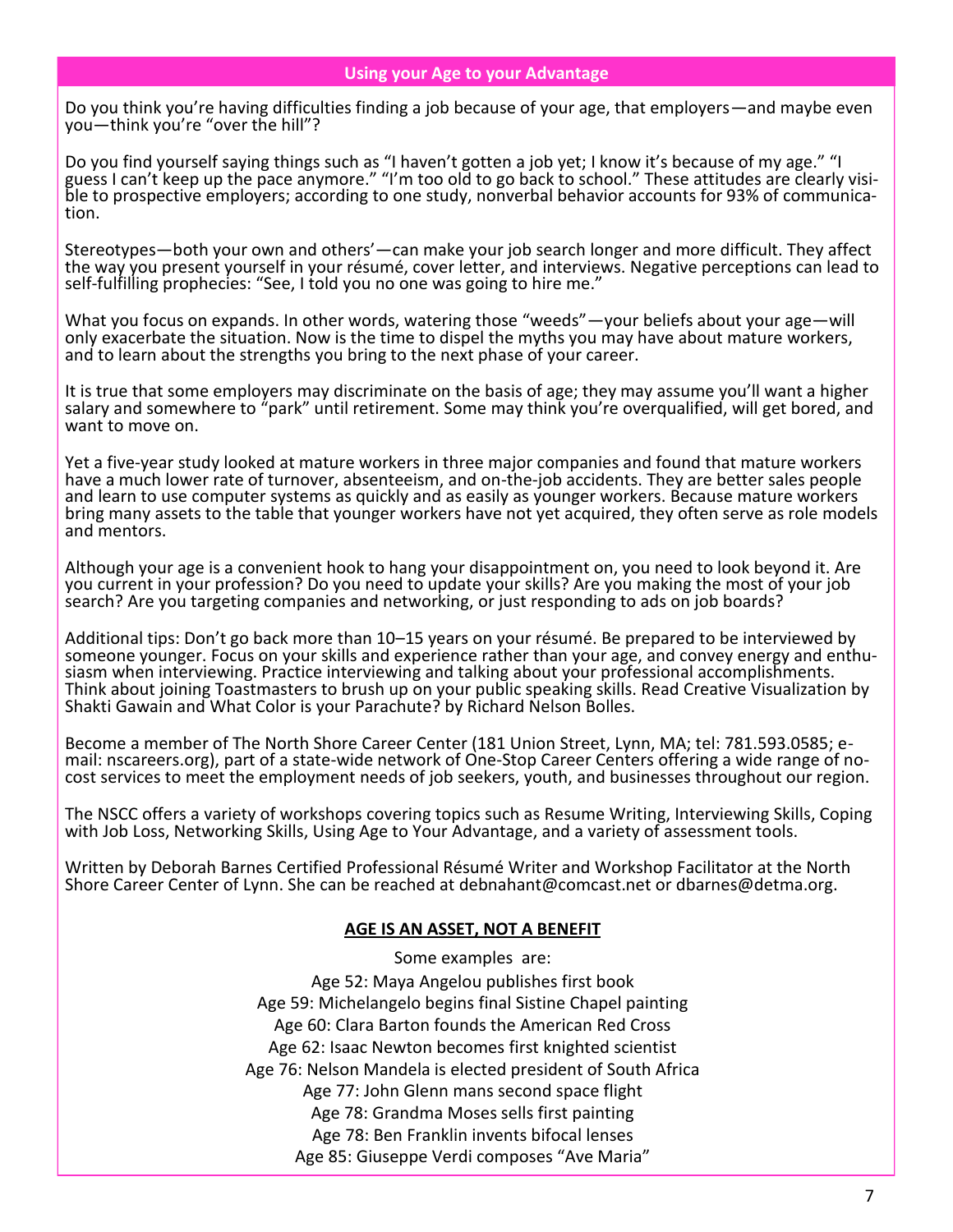### **Using your Age to your Advantage**

Do you think you're having difficulties finding a job because of your age, that employers—and maybe even you—think you're "over the hill"?

Do you find yourself saying things such as "I haven't gotten a job yet; I know it's because of my age." "I guess I can't keep up the pace anymore." "I'm too old to go back to school." These attitudes are clearly visible to prospective employers; according to one study, nonverbal behavior accounts for 93% of communication.

Stereotypes—both your own and others'—can make your job search longer and more difficult. They affect the way you present yourself in your résumé, cover letter, and interviews. Negative perceptions can lead to self-fulfilling prophecies: "See, I told you no one was going to hire me."

What you focus on expands. In other words, watering those "weeds" — your beliefs about your age — will only exacerbate the situation. Now is the time to dispel the myths you may have about mature workers, and to learn about the strengths you bring to the next phase of your career.

It is true that some employers may discriminate on the basis of age; they may assume you'll want a higher salary and somewhere to "park" until retirement. Some may think you're overqualified, will get bored, and want to move on.

Yet a five-year study looked at mature workers in three major companies and found that mature workers have a much lower rate of turnover, absenteeism, and on-the-job accidents. They are better sales people and learn to use computer systems as quickly and as easily as younger workers. Because mature workers bring many assets to the table that younger workers have not yet acquired, they often serve as role models and mentors.

Although your age is a convenient hook to hang your disappointment on, you need to look beyond it. Are you current in your profession? Do you need to update your skills? Are you making the most of your job search? Are you targeting companies and networking, or just responding to ads on job boards?

Additional tips: Don't go back more than 10–15 years on your résumé. Be prepared to be interviewed by someone younger. Focus on your skills and experience rather than your age, and convey energy and enthusiasm when interviewing. Practice interviewing and talking about your professional accomplishments. Think about joining Toastmasters to brush up on your public speaking skills. Read Creative Visualization by Shakti Gawain and What Color is your Parachute? by Richard Nelson Bolles.

Become a member of The North Shore Career Center (181 Union Street, Lynn, MA; tel: 781.593.0585; email: nscareers.org), part of a state-wide network of One-Stop Career Centers offering a wide range of nocost services to meet the employment needs of job seekers, youth, and businesses throughout our region.

The NSCC offers a variety of workshops covering topics such as Resume Writing, Interviewing Skills, Coping with Job Loss, Networking Skills, Using Age to Your Advantage, and a variety of assessment tools.

Written by Deborah Barnes Certified Professional Résumé Writer and Workshop Facilitator at the North Shore Career Center of Lynn. She can be reached at debnahant@comcast.net or dbarnes@detma.org.

### **AGE IS AN ASSET, NOT A BENEFIT**

Some examples are: Age 52: Maya Angelou publishes first book Age 59: Michelangelo begins final Sistine Chapel painting Age 60: Clara Barton founds the American Red Cross Age 62: Isaac Newton becomes first knighted scientist Age 76: Nelson Mandela is elected president of South Africa Age 77: John Glenn mans second space flight Age 78: Grandma Moses sells first painting Age 78: Ben Franklin invents bifocal lenses Age 85: Giuseppe Verdi composes "Ave Maria"